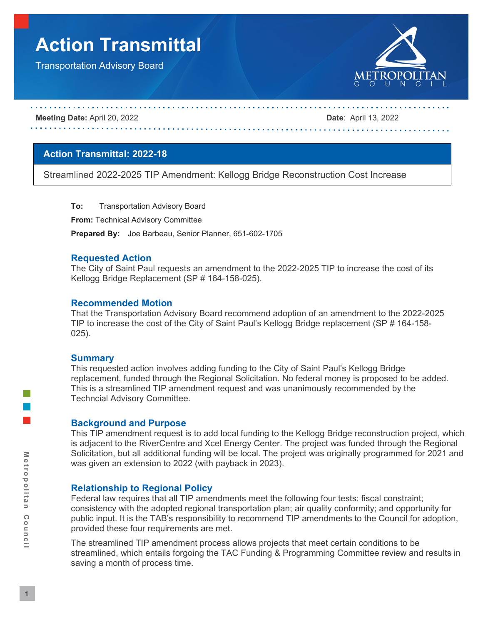# **Action Transmittal**

Transportation Advisory Board



#### **Meeting Date:** April 20, 2022 **Date**: April 13, 2022

## **Action Transmittal: 2022-18**

Streamlined 2022-2025 TIP Amendment: Kellogg Bridge Reconstruction Cost Increase

**To:** Transportation Advisory Board

**From:** Technical Advisory Committee

**Prepared By:** Joe Barbeau, Senior Planner, 651-602-1705

## **Requested Action**

The City of Saint Paul requests an amendment to the 2022-2025 TIP to increase the cost of its Kellogg Bridge Replacement (SP # 164-158-025).

## **Recommended Motion**

That the Transportation Advisory Board recommend adoption of an amendment to the 2022-2025 TIP to increase the cost of the City of Saint Paul's Kellogg Bridge replacement (SP # 164-158- 025).

#### **Summary**

This requested action involves adding funding to the City of Saint Paul's Kellogg Bridge replacement, funded through the Regional Solicitation. No federal money is proposed to be added. This is a streamlined TIP amendment request and was unanimously recommended by the Techncial Advisory Committee.

## **Background and Purpose**

This TIP amendment request is to add local funding to the Kellogg Bridge reconstruction project, which is adjacent to the RiverCentre and Xcel Energy Center. The project was funded through the Regional Solicitation, but all additional funding will be local. The project was originally programmed for 2021 and was given an extension to 2022 (with payback in 2023).

## **Relationship to Regional Policy**

Federal law requires that all TIP amendments meet the following four tests: fiscal constraint; consistency with the adopted regional transportation plan; air quality conformity; and opportunity for public input. It is the TAB's responsibility to recommend TIP amendments to the Council for adoption, provided these four requirements are met.

The streamlined TIP amendment process allows projects that meet certain conditions to be streamlined, which entails forgoing the TAC Funding & Programming Committee review and results in saving a month of process time.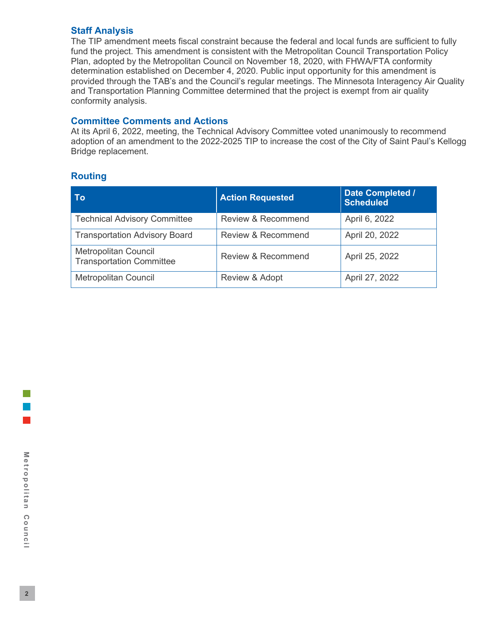## **Staff Analysis**

The TIP amendment meets fiscal constraint because the federal and local funds are sufficient to fully fund the project. This amendment is consistent with the Metropolitan Council Transportation Policy Plan, adopted by the Metropolitan Council on November 18, 2020, with FHWA/FTA conformity determination established on December 4, 2020. Public input opportunity for this amendment is provided through the TAB's and the Council's regular meetings. The Minnesota Interagency Air Quality and Transportation Planning Committee determined that the project is exempt from air quality conformity analysis.

## **Committee Comments and Actions**

At its April 6, 2022, meeting, the Technical Advisory Committee voted unanimously to recommend adoption of an amendment to the 2022-2025 TIP to increase the cost of the City of Saint Paul's Kellogg Bridge replacement.

## **Routing**

| To                                                             | <b>Action Requested</b>       | Date Completed /<br><b>Scheduled</b> |  |
|----------------------------------------------------------------|-------------------------------|--------------------------------------|--|
| <b>Technical Advisory Committee</b>                            | <b>Review &amp; Recommend</b> | April 6, 2022                        |  |
| <b>Transportation Advisory Board</b>                           | <b>Review &amp; Recommend</b> | April 20, 2022                       |  |
| <b>Metropolitan Council</b><br><b>Transportation Committee</b> | <b>Review &amp; Recommend</b> | April 25, 2022                       |  |
| <b>Metropolitan Council</b>                                    | Review & Adopt                | April 27, 2022                       |  |